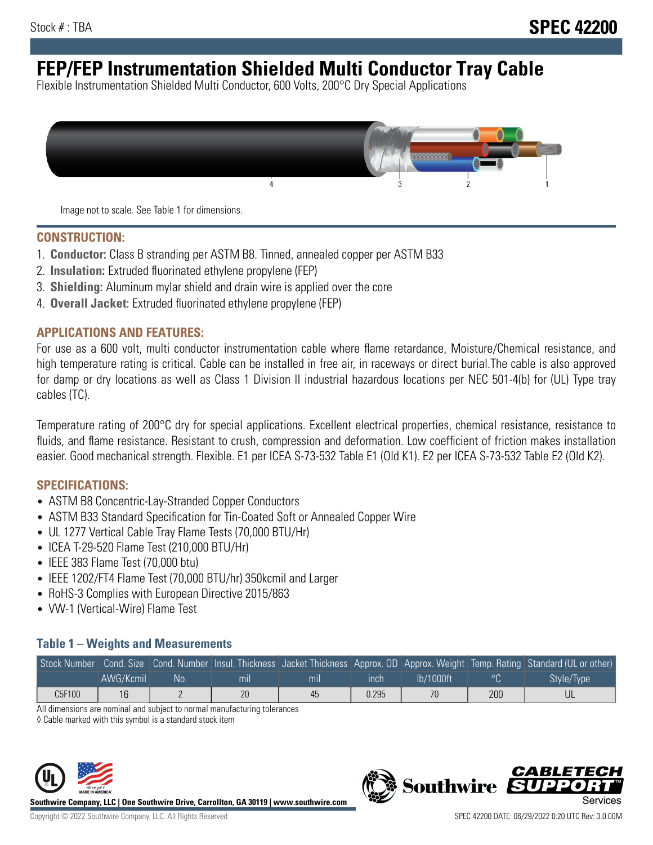# **FEP/FEP Instrumentation Shielded Multi Conductor Tray Cable**

Flexible Instrumentation Shielded Multi Conductor, 600 Volts, 200°C Dry Special Applications



Image not to scale. See Table 1 for dimensions.

#### **CONSTRUCTION:**

- 1. **Conductor:** Class B stranding per ASTM B8. Tinned, annealed copper per ASTM B33
- 2. **Insulation:** Extruded fluorinated ethylene propylene (FEP)
- 3. **Shielding:** Aluminum mylar shield and drain wire is applied over the core
- 4. **Overall Jacket:** Extruded fluorinated ethylene propylene (FEP)

#### **APPLICATIONS AND FEATURES:**

For use as a 600 volt, multi conductor instrumentation cable where flame retardance, Moisture/Chemical resistance, and high temperature rating is critical. Cable can be installed in free air, in raceways or direct burial.The cable is also approved for damp or dry locations as well as Class 1 Division II industrial hazardous locations per NEC 501-4(b) for (UL) Type tray cables (TC).

Temperature rating of 200°C dry for special applications. Excellent electrical properties, chemical resistance, resistance to fluids, and flame resistance. Resistant to crush, compression and deformation. Low coefficient of friction makes installation easier. Good mechanical strength. Flexible. E1 per ICEA S-73-532 Table E1 (Old K1). E2 per ICEA S-73-532 Table E2 (Old K2).

#### **SPECIFICATIONS:**

- ASTM B8 Concentric-Lay-Stranded Copper Conductors
- ASTM B33 Standard Specification for Tin-Coated Soft or Annealed Copper Wire
- UL 1277 Vertical Cable Tray Flame Tests (70,000 BTU/Hr)
- ICEA T-29-520 Flame Test (210,000 BTU/Hr)
- IEEE 383 Flame Test (70,000 btu)
- IEEE 1202/FT4 Flame Test (70,000 BTU/hr) 350kcmil and Larger
- RoHS-3 Complies with European Directive 2015/863
- VW-1 (Vertical-Wire) Flame Test

### **Table 1 – Weights and Measurements**

|        |           |     |     |     |       |           |     | Stock Number Cond. Size Cond. Number Insul. Thickness Jacket Thickness Approx. OD Approx. Weight Temp. Rating Standard (UL or other) |
|--------|-----------|-----|-----|-----|-------|-----------|-----|--------------------------------------------------------------------------------------------------------------------------------------|
|        | AWG/Kcmil | :No | mil | mıl | inch  | Ib/1000ft |     | Style/Type                                                                                                                           |
| C5F100 | 16        |     | 20  | 45  | 0.295 | 70        | 200 |                                                                                                                                      |

All dimensions are nominal and subject to normal manufacturing tolerances

◊ Cable marked with this symbol is a standard stock item



**Southwire Company, LLC | One Southwire Drive, Carrollton, GA 30119 | www.southwire.com**